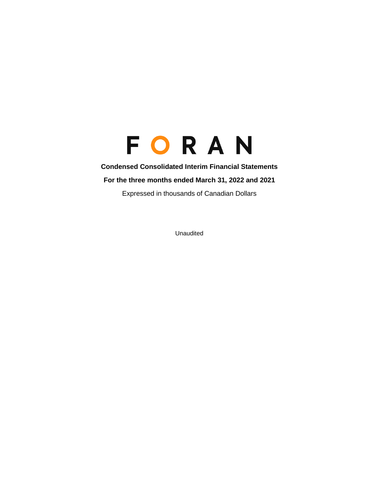### **Condensed Consolidated Interim Financial Statements**

**For the three months ended March 31, 2022 and 2021**

Expressed in thousands of Canadian Dollars

Unaudited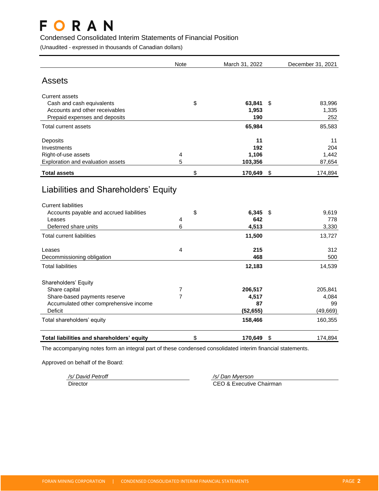### Condensed Consolidated Interim Statements of Financial Position

(Unaudited - expressed in thousands of Canadian dollars)

|                                                                                                                                                  | <b>Note</b>    | March 31, 2022        |     | December 31, 2021     |
|--------------------------------------------------------------------------------------------------------------------------------------------------|----------------|-----------------------|-----|-----------------------|
| <b>Assets</b>                                                                                                                                    |                |                       |     |                       |
| <b>Current assets</b>                                                                                                                            |                |                       |     |                       |
| Cash and cash equivalents                                                                                                                        | \$             | 63,841                | \$  | 83,996                |
| Accounts and other receivables                                                                                                                   |                | 1,953                 |     | 1,335                 |
| Prepaid expenses and deposits                                                                                                                    |                | 190                   |     | 252                   |
| Total current assets                                                                                                                             |                | 65,984                |     | 85,583                |
| Deposits                                                                                                                                         |                | 11                    |     | 11                    |
| Investments                                                                                                                                      |                | 192                   |     | 204                   |
| Right-of-use assets                                                                                                                              | 4              | 1,106                 |     | 1,442                 |
| Exploration and evaluation assets                                                                                                                | 5              | 103,356               |     | 87,654                |
| <b>Total assets</b>                                                                                                                              | \$             | 170,649               | \$  | 174,894               |
| Liabilities and Shareholders' Equity<br><b>Current liabilities</b><br>Accounts payable and accrued liabilities<br>Leases<br>Deferred share units | \$<br>4<br>6   | 6,345<br>642<br>4,513 | -\$ | 9,619<br>778<br>3,330 |
|                                                                                                                                                  |                |                       |     |                       |
| <b>Total current liabilities</b>                                                                                                                 |                | 11,500                |     | 13,727                |
| Leases                                                                                                                                           | 4              | 215                   |     | 312                   |
| Decommissioning obligation                                                                                                                       |                | 468                   |     | 500                   |
| <b>Total liabilities</b>                                                                                                                         |                | 12,183                |     | 14,539                |
| Shareholders' Equity                                                                                                                             |                |                       |     |                       |
| Share capital                                                                                                                                    | 7              | 206,517               |     | 205,841               |
| Share-based payments reserve                                                                                                                     | $\overline{7}$ | 4,517                 |     | 4,084                 |
| Accumulated other comprehensive income                                                                                                           |                | 87                    |     | 99                    |
| <b>Deficit</b>                                                                                                                                   |                | (52, 655)             |     | (49, 669)             |
| Total shareholders' equity                                                                                                                       |                | 158,466               |     | 160,355               |
| Total liabilities and shareholders' equity                                                                                                       | \$             | 170,649               | \$  | 174,894               |

The accompanying notes form an integral part of these condensed consolidated interim financial statements.

Approved on behalf of the Board:

*/s/ David Petroff /s/ Dan Myerson* Director **CEO & Executive Chairman**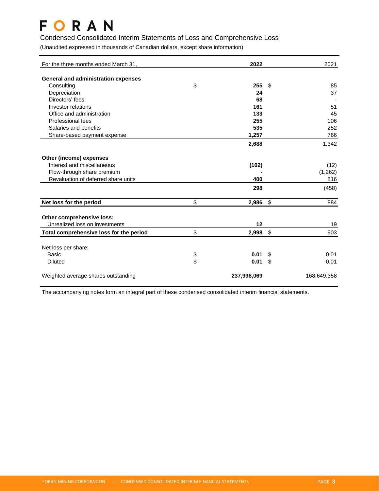### Condensed Consolidated Interim Statements of Loss and Comprehensive Loss

(Unaudited expressed in thousands of Canadian dollars, except share information)

| For the three months ended March 31,       |          | 2022        |               | 2021        |
|--------------------------------------------|----------|-------------|---------------|-------------|
| <b>General and administration expenses</b> |          |             |               |             |
| Consulting                                 | \$       | 255         | \$            | 85          |
| Depreciation                               |          | 24          |               | 37          |
| Directors' fees                            |          | 68          |               |             |
| Investor relations                         |          | 161         |               | 51          |
| Office and administration                  |          | 133         |               | 45          |
| Professional fees                          |          | 255         |               | 106         |
| Salaries and benefits                      |          | 535         |               | 252         |
| Share-based payment expense                |          | 1,257       |               | 766         |
|                                            |          | 2,688       |               | 1,342       |
| Other (income) expenses                    |          |             |               |             |
| Interest and miscellaneous                 |          | (102)       |               | (12)        |
| Flow-through share premium                 |          |             |               | (1,262)     |
| Revaluation of deferred share units        |          | 400         |               | 816         |
|                                            |          | 298         |               | (458)       |
| Net loss for the period                    | \$       | 2,986       | \$            | 884         |
|                                            |          |             |               |             |
| Other comprehensive loss:                  |          |             |               |             |
| Unrealized loss on investments             |          | 12          |               | 19          |
| Total comprehensive loss for the period    | \$       | 2,998       | $\sqrt[6]{2}$ | 903         |
|                                            |          |             |               |             |
| Net loss per share:                        |          |             |               |             |
| Basic                                      | \$<br>\$ | 0.01        | \$            | 0.01        |
| <b>Diluted</b>                             |          | 0.01        | \$            | 0.01        |
| Weighted average shares outstanding        |          | 237,998,069 |               | 168,649,358 |

The accompanying notes form an integral part of these condensed consolidated interim financial statements.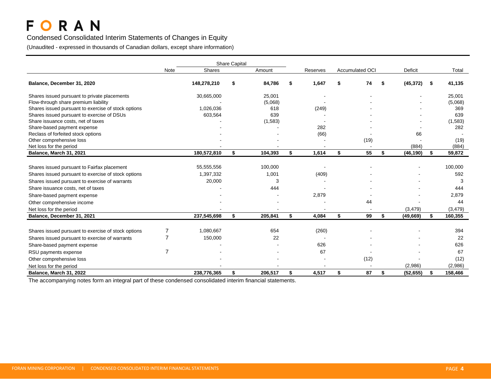### Condensed Consolidated Interim Statements of Changes in Equity

(Unaudited - expressed in thousands of Canadian dollars, except share information)

|                                                     |      |             | <b>Share Capital</b> |         |    |          |                        |    |                |               |
|-----------------------------------------------------|------|-------------|----------------------|---------|----|----------|------------------------|----|----------------|---------------|
|                                                     | Note | Shares      |                      | Amount  |    | Reserves | <b>Accumulated OCI</b> |    | <b>Deficit</b> | Total         |
| Balance, December 31, 2020                          |      | 148,278,210 | \$                   | 84,786  | S  | 1,647    | \$<br>74               | S  | (45, 372)      | \$<br>41,135  |
| Shares issued pursuant to private placements        |      | 30,665,000  |                      | 25,001  |    |          |                        |    |                | 25,001        |
| Flow-through share premium liability                |      |             |                      | (5,068) |    |          |                        |    |                | (5,068)       |
| Shares issued pursuant to exercise of stock options |      | 1,026,036   |                      | 618     |    | (249)    |                        |    |                | 369           |
| Shares issued pursuant to exercise of DSUs          |      | 603,564     |                      | 639     |    |          |                        |    |                | 639           |
| Share issuance costs, net of taxes                  |      |             |                      | (1,583) |    |          |                        |    |                | (1, 583)      |
| Share-based payment expense                         |      |             |                      |         |    | 282      |                        |    |                | 282           |
| Reclass of forfeited stock options                  |      |             |                      |         |    | (66)     |                        |    | 66             |               |
| Other comprehensive loss                            |      |             |                      |         |    |          | (19)                   |    |                | (19)          |
| Net loss for the period                             |      |             |                      |         |    |          |                        |    | (884)          | (884)         |
| Balance, March 31, 2021                             |      | 180,572,810 | \$                   | 104,393 | \$ | 1,614    | \$<br>55               | \$ | (46, 190)      | \$<br>59,872  |
|                                                     |      |             |                      |         |    |          |                        |    |                |               |
| Shares issued pursuant to Fairfax placement         |      | 55,555,556  |                      | 100,000 |    |          |                        |    |                | 100,000       |
| Shares issued pursuant to exercise of stock options |      | 1,397,332   |                      | 1,001   |    | (409)    |                        |    |                | 592           |
| Shares issued pursuant to exercise of warrants      |      | 20,000      |                      | 3       |    |          |                        |    |                | 3             |
| Share issuance costs, net of taxes                  |      |             |                      | 444     |    |          |                        |    |                | 444           |
| Share-based payment expense                         |      |             |                      |         |    | 2,879    |                        |    |                | 2,879         |
| Other comprehensive income                          |      |             |                      |         |    |          | 44                     |    |                | 44            |
| Net loss for the period                             |      |             |                      |         |    |          |                        |    | (3, 479)       | (3, 479)      |
| Balance, December 31, 2021                          |      | 237,545,698 | \$                   | 205,841 | \$ | 4,084    | \$<br>99               | \$ | (49, 669)      | \$<br>160,355 |
|                                                     |      |             |                      |         |    |          |                        |    |                |               |
| Shares issued pursuant to exercise of stock options | 7    | 1,080,667   |                      | 654     |    | (260)    |                        |    |                | 394           |
| Shares issued pursuant to exercise of warrants      |      | 150,000     |                      | 22      |    |          |                        |    |                | 22            |
| Share-based payment expense                         |      |             |                      |         |    | 626      |                        |    |                | 626           |
| RSU payments expense                                | 7    |             |                      |         |    | 67       |                        |    |                | 67            |
| Other comprehensive loss                            |      |             |                      |         |    |          | (12)                   |    |                | (12)          |
| Net loss for the period                             |      |             |                      |         |    |          |                        |    | (2,986)        | (2,986)       |
| Balance, March 31, 2022                             |      | 238,776,365 | \$                   | 206,517 | \$ | 4,517    | \$<br>87               | \$ | (52, 655)      | \$<br>158,466 |

The accompanying notes form an integral part of these condensed consolidated interim financial statements.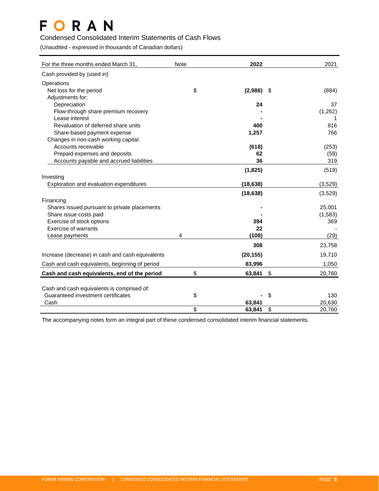### Condensed Consolidated Interim Statements of Cash Flows

(Unaudited - expressed in thousands of Canadian dollars)

| For the three months ended March 31,                        | <b>Note</b> | 2022        | 2021                                |
|-------------------------------------------------------------|-------------|-------------|-------------------------------------|
| Cash provided by (used in)                                  |             |             |                                     |
| Operations                                                  |             |             |                                     |
| Net loss for the period                                     | \$          | (2,986)     | (884)<br>- \$                       |
| Adjustments for:                                            |             |             |                                     |
| Depreciation                                                |             | 24          | 37                                  |
| Flow-through share premium recovery                         |             |             | (1,262)                             |
| Lease interest                                              |             |             | 1                                   |
| Revaluation of deferred share units                         |             | 400         | 816                                 |
| Share-based payment expense                                 |             | 1,257       | 766                                 |
| Changes in non-cash working capital:<br>Accounts receivable |             |             |                                     |
| Prepaid expenses and deposits                               |             | (618)<br>62 | (253)                               |
| Accounts payable and accrued liabilities                    |             | 36          | (59)<br>319                         |
|                                                             |             |             |                                     |
|                                                             |             | (1, 825)    | (519)                               |
| Investing                                                   |             |             |                                     |
| Exploration and evaluation expenditures                     |             | (18, 638)   | (3,529)                             |
|                                                             |             | (18, 638)   | (3,529)                             |
| Financing                                                   |             |             |                                     |
| Shares issued pursuant to private placements                |             |             | 25,001                              |
| Share issue costs paid                                      |             |             | (1, 583)                            |
| Exercise of stock options<br>Exercise of warrants           |             | 394<br>22   | 369                                 |
|                                                             | 4           | (108)       |                                     |
| Lease payments                                              |             |             | (29)                                |
|                                                             |             | 308         | 23,758                              |
| Increase (decrease) in cash and cash equivalents            |             | (20, 155)   | 19,710                              |
| Cash and cash equivalents, beginning of period              |             | 83,996      | 1,050                               |
| Cash and cash equivalents, end of the period                | \$          | 63,841      | $\boldsymbol{\mathsf{S}}$<br>20,760 |
|                                                             |             |             |                                     |
| Cash and cash equivalents is comprised of:                  |             |             |                                     |
| Guaranteed investment certificates                          | \$          |             | \$<br>130                           |
| Cash                                                        |             | 63,841      | 20,630                              |
|                                                             | \$          | 63,841      | \$<br>20,760                        |

The accompanying notes form an integral part of these condensed consolidated interim financial statements.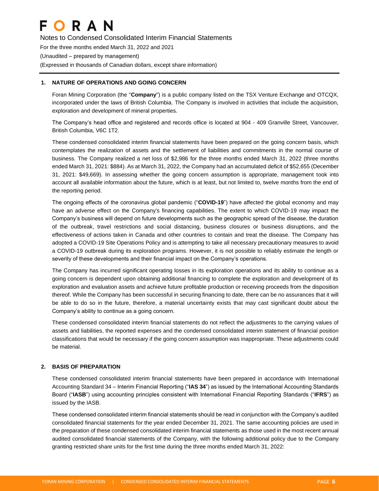Notes to Condensed Consolidated Interim Financial Statements For the three months ended March 31, 2022 and 2021 (Unaudited – prepared by management) (Expressed in thousands of Canadian dollars, except share information)

#### **1. NATURE OF OPERATIONS AND GOING CONCERN**

Foran Mining Corporation (the "**Company**") is a public company listed on the TSX Venture Exchange and OTCQX, incorporated under the laws of British Columbia. The Company is involved in activities that include the acquisition, exploration and development of mineral properties.

The Company's head office and registered and records office is located at 904 - 409 Granville Street, Vancouver, British Columbia, V6C 1T2.

These condensed consolidated interim financial statements have been prepared on the going concern basis, which contemplates the realization of assets and the settlement of liabilities and commitments in the normal course of business. The Company realized a net loss of \$2,986 for the three months ended March 31, 2022 (three months ended March 31, 2021: \$884). As at March 31, 2022, the Company had an accumulated deficit of \$52,655 (December 31, 2021: \$49,669). In assessing whether the going concern assumption is appropriate, management took into account all available information about the future, which is at least, but not limited to, twelve months from the end of the reporting period.

The ongoing effects of the coronavirus global pandemic ("**COVID-19**") have affected the global economy and may have an adverse effect on the Company's financing capabilities. The extent to which COVID-19 may impact the Company's business will depend on future developments such as the geographic spread of the disease, the duration of the outbreak, travel restrictions and social distancing, business closures or business disruptions, and the effectiveness of actions taken in Canada and other countries to contain and treat the disease. The Company has adopted a COVID-19 Site Operations Policy and is attempting to take all necessary precautionary measures to avoid a COVID-19 outbreak during its exploration programs. However, it is not possible to reliably estimate the length or severity of these developments and their financial impact on the Company's operations.

The Company has incurred significant operating losses in its exploration operations and its ability to continue as a going concern is dependent upon obtaining additional financing to complete the exploration and development of its exploration and evaluation assets and achieve future profitable production or receiving proceeds from the disposition thereof. While the Company has been successful in securing financing to date, there can be no assurances that it will be able to do so in the future, therefore, a material uncertainty exists that may cast significant doubt about the Company's ability to continue as a going concern.

These condensed consolidated interim financial statements do not reflect the adjustments to the carrying values of assets and liabilities, the reported expenses and the condensed consolidated interim statement of financial position classifications that would be necessary if the going concern assumption was inappropriate. These adjustments could be material.

### **2. BASIS OF PREPARATION**

These condensed consolidated interim financial statements have been prepared in accordance with International Accounting Standard 34 – Interim Financial Reporting ("**IAS 34**") as issued by the International Accounting Standards Board ("**IASB**") using accounting principles consistent with International Financial Reporting Standards ("**IFRS**") as issued by the IASB.

These condensed consolidated interim financial statements should be read in conjunction with the Company's audited consolidated financial statements for the year ended December 31, 2021. The same accounting policies are used in the preparation of these condensed consolidated interim financial statements as those used in the most recent annual audited consolidated financial statements of the Company, with the following additional policy due to the Company granting restricted share units for the first time during the three months ended March 31, 2022: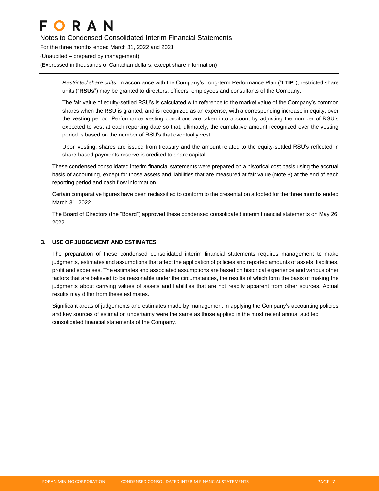Notes to Condensed Consolidated Interim Financial Statements For the three months ended March 31, 2022 and 2021 (Unaudited – prepared by management) (Expressed in thousands of Canadian dollars, except share information)

> *Restricted share units:* In accordance with the Company's Long-term Performance Plan ("**LTIP**"), restricted share units ("**RSUs**") may be granted to directors, officers, employees and consultants of the Company.

> The fair value of equity-settled RSU's is calculated with reference to the market value of the Company's common shares when the RSU is granted, and is recognized as an expense, with a corresponding increase in equity, over the vesting period. Performance vesting conditions are taken into account by adjusting the number of RSU's expected to vest at each reporting date so that, ultimately, the cumulative amount recognized over the vesting period is based on the number of RSU's that eventually vest.

> Upon vesting, shares are issued from treasury and the amount related to the equity-settled RSU's reflected in share-based payments reserve is credited to share capital.

These condensed consolidated interim financial statements were prepared on a historical cost basis using the accrual basis of accounting, except for those assets and liabilities that are measured at fair value (Note 8) at the end of each reporting period and cash flow information.

Certain comparative figures have been reclassified to conform to the presentation adopted for the three months ended March 31, 2022.

The Board of Directors (the "Board") approved these condensed consolidated interim financial statements on May 26, 2022.

#### **3. USE OF JUDGEMENT AND ESTIMATES**

The preparation of these condensed consolidated interim financial statements requires management to make judgments, estimates and assumptions that affect the application of policies and reported amounts of assets, liabilities, profit and expenses. The estimates and associated assumptions are based on historical experience and various other factors that are believed to be reasonable under the circumstances, the results of which form the basis of making the judgments about carrying values of assets and liabilities that are not readily apparent from other sources. Actual results may differ from these estimates.

Significant areas of judgements and estimates made by management in applying the Company's accounting policies and key sources of estimation uncertainty were the same as those applied in the most recent annual audited consolidated financial statements of the Company.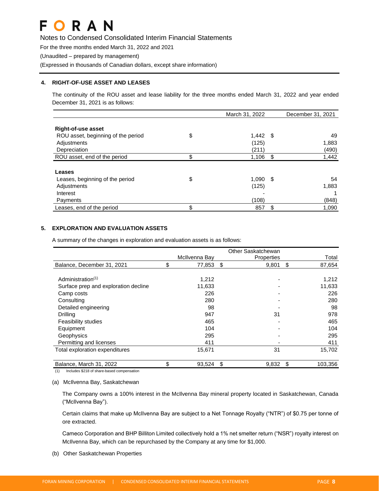Notes to Condensed Consolidated Interim Financial Statements

For the three months ended March 31, 2022 and 2021

(Unaudited – prepared by management)

(Expressed in thousands of Canadian dollars, except share information)

#### **4. RIGHT-OF-USE ASSET AND LEASES**

The continuity of the ROU asset and lease liability for the three months ended March 31, 2022 and year ended December 31, 2021 is as follows:

| March 31, 2022 |     | December 31, 2021        |
|----------------|-----|--------------------------|
|                |     |                          |
|                |     |                          |
|                |     | 49                       |
| (125)          |     | 1,883                    |
| (211)          |     | (490)                    |
| \$<br>1,106    | -\$ | 1,442                    |
|                |     |                          |
|                |     |                          |
| \$             |     | 54                       |
| (125)          |     | 1,883                    |
|                |     |                          |
| (108)          |     | (848)                    |
| \$<br>857      | \$  | 1,090                    |
| \$             |     | $1,442$ \$<br>$1,090$ \$ |

#### **5. EXPLORATION AND EVALUATION ASSETS**

A summary of the changes in exploration and evaluation assets is as follows:

|                                      |               | Other Saskatchewan |               |
|--------------------------------------|---------------|--------------------|---------------|
|                                      | McIlvenna Bay | Properties         | Total         |
| Balance, December 31, 2021           | \$<br>77,853  | \$<br>9,801        | \$<br>87,654  |
|                                      |               |                    |               |
| Administration <sup>(1)</sup>        | 1,212         |                    | 1,212         |
| Surface prep and exploration decline | 11,633        |                    | 11,633        |
| Camp costs                           | 226           |                    | 226           |
| Consulting                           | 280           |                    | 280           |
| Detailed engineering                 | 98            |                    | 98            |
| <b>Drilling</b>                      | 947           | 31                 | 978           |
| <b>Feasibility studies</b>           | 465           |                    | 465           |
| Equipment                            | 104           |                    | 104           |
| Geophysics                           | 295           |                    | 295           |
| Permitting and licenses              | 411           |                    | 411           |
| Total exploration expenditures       | 15,671        | 31                 | 15,702        |
| Balance, March 31, 2022              | \$<br>93,524  | \$<br>9,832        | \$<br>103,356 |

(1) Includes \$218 of share-based compensation

#### (a) McIlvenna Bay, Saskatchewan

The Company owns a 100% interest in the McIlvenna Bay mineral property located in Saskatchewan, Canada ("McIlvenna Bay").

Certain claims that make up McIlvenna Bay are subject to a Net Tonnage Royalty ("NTR") of \$0.75 per tonne of ore extracted.

Cameco Corporation and BHP Billiton Limited collectively hold a 1% net smelter return ("NSR") royalty interest on McIlvenna Bay, which can be repurchased by the Company at any time for \$1,000.

(b) Other Saskatchewan Properties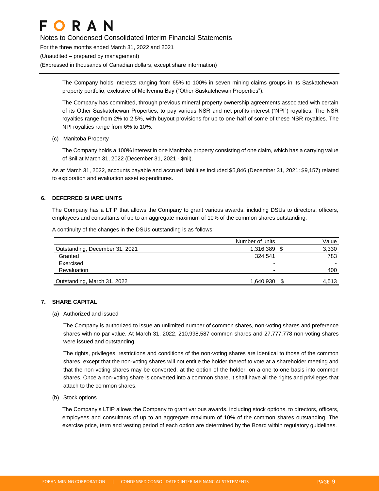Notes to Condensed Consolidated Interim Financial Statements For the three months ended March 31, 2022 and 2021 (Unaudited – prepared by management) (Expressed in thousands of Canadian dollars, except share information)

> The Company holds interests ranging from 65% to 100% in seven mining claims groups in its Saskatchewan property portfolio, exclusive of McIlvenna Bay ("Other Saskatchewan Properties").

> The Company has committed, through previous mineral property ownership agreements associated with certain of its Other Saskatchewan Properties, to pay various NSR and net profits interest ("NPI") royalties. The NSR royalties range from 2% to 2.5%, with buyout provisions for up to one-half of some of these NSR royalties. The NPI royalties range from 6% to 10%.

(c) Manitoba Property

The Company holds a 100% interest in one Manitoba property consisting of one claim, which has a carrying value of \$nil at March 31, 2022 (December 31, 2021 - \$nil).

As at March 31, 2022, accounts payable and accrued liabilities included \$5,846 (December 31, 2021: \$9,157) related to exploration and evaluation asset expenditures.

#### **6. DEFERRED SHARE UNITS**

The Company has a LTIP that allows the Company to grant various awards, including DSUs to directors, officers, employees and consultants of up to an aggregate maximum of 10% of the common shares outstanding.

A continuity of the changes in the DSUs outstanding is as follows:

|                                | Number of units          | Value |
|--------------------------------|--------------------------|-------|
| Outstanding, December 31, 2021 | 1,316,389 \$             | 3,330 |
| Granted                        | 324.541                  | 783   |
| Exercised                      | $\overline{\phantom{0}}$ |       |
| Revaluation                    | ۰                        | 400   |
| Outstanding, March 31, 2022    | 1,640,930                | 4.513 |

#### **7. SHARE CAPITAL**

(a) Authorized and issued

The Company is authorized to issue an unlimited number of common shares, non-voting shares and preference shares with no par value. At March 31, 2022, 210,998,587 common shares and 27,777,778 non-voting shares were issued and outstanding.

The rights, privileges, restrictions and conditions of the non-voting shares are identical to those of the common shares, except that the non-voting shares will not entitle the holder thereof to vote at a shareholder meeting and that the non-voting shares may be converted, at the option of the holder, on a one-to-one basis into common shares. Once a non-voting share is converted into a common share, it shall have all the rights and privileges that attach to the common shares.

(b) Stock options

The Company's LTIP allows the Company to grant various awards, including stock options, to directors, officers, employees and consultants of up to an aggregate maximum of 10% of the common shares outstanding. The exercise price, term and vesting period of each option are determined by the Board within regulatory guidelines.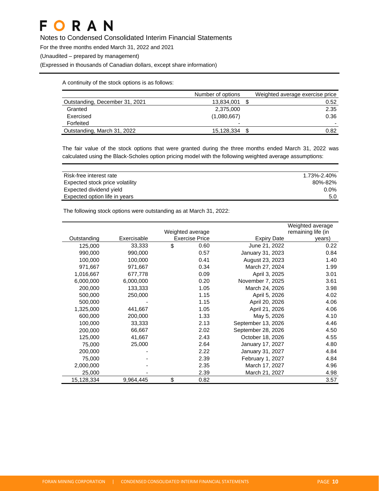Notes to Condensed Consolidated Interim Financial Statements

For the three months ended March 31, 2022 and 2021

(Unaudited – prepared by management)

(Expressed in thousands of Canadian dollars, except share information)

A continuity of the stock options is as follows:

|                                | Number of options        | Weighted average exercise price |
|--------------------------------|--------------------------|---------------------------------|
| Outstanding, December 31, 2021 | 13,834,001               | 0.52                            |
| Granted                        | 2,375,000                | 2.35                            |
| Exercised                      | (1,080,667)              | 0.36                            |
| Forfeited                      | $\overline{\phantom{0}}$ |                                 |
| Outstanding, March 31, 2022    | 15,128,334               | 0.82                            |

The fair value of the stock options that were granted during the three months ended March 31, 2022 was calculated using the Black-Scholes option pricing model with the following weighted average assumptions:

| Risk-free interest rate         | 1.73%-2.40% |
|---------------------------------|-------------|
| Expected stock price volatility | 80%-82%     |
| Expected dividend yield         | $0.0\%$     |
| Expected option life in years   | 5.0         |

The following stock options were outstanding as at March 31, 2022:

|             |             |                       |                    | Weighted average   |
|-------------|-------------|-----------------------|--------------------|--------------------|
|             |             | Weighted average      |                    | remaining life (in |
| Outstanding | Exercisable | <b>Exercise Price</b> | <b>Expiry Date</b> | years)             |
| 125,000     | 33,333      | \$<br>0.60            | June 21, 2022      | 0.22               |
| 990,000     | 990,000     | 0.57                  | January 31, 2023   | 0.84               |
| 100,000     | 100,000     | 0.41                  | August 23, 2023    | 1.40               |
| 971,667     | 971,667     | 0.34                  | March 27, 2024     | 1.99               |
| 1,016,667   | 677,778     | 0.09                  | April 3, 2025      | 3.01               |
| 6,000,000   | 6,000,000   | 0.20                  | November 7, 2025   | 3.61               |
| 200,000     | 133,333     | 1.05                  | March 24, 2026     | 3.98               |
| 500,000     | 250,000     | 1.15                  | April 5, 2026      | 4.02               |
| 500,000     |             | 1.15                  | April 20, 2026     | 4.06               |
| 1,325,000   | 441,667     | 1.05                  | April 21, 2026     | 4.06               |
| 600,000     | 200,000     | 1.33                  | May 5, 2026        | 4.10               |
| 100,000     | 33,333      | 2.13                  | September 13, 2026 | 4.46               |
| 200,000     | 66,667      | 2.02                  | September 28, 2026 | 4.50               |
| 125,000     | 41,667      | 2.43                  | October 18, 2026   | 4.55               |
| 75,000      | 25,000      | 2.64                  | January 17, 2027   | 4.80               |
| 200,000     |             | 2.22                  | January 31, 2027   | 4.84               |
| 75,000      |             | 2.39                  | February 1, 2027   | 4.84               |
| 2,000,000   |             | 2.35                  | March 17, 2027     | 4.96               |
| 25,000      |             | 2.39                  | March 21, 2027     | 4.98               |
| 15,128,334  | 9,964,445   | \$<br>0.82            |                    | 3.57               |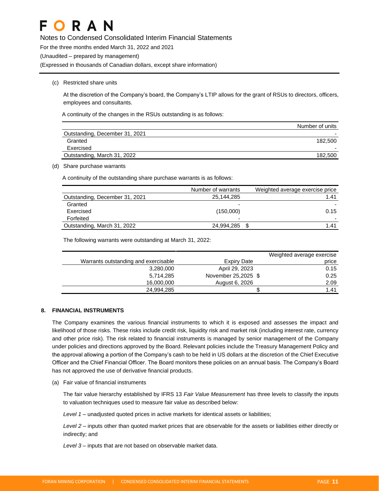Notes to Condensed Consolidated Interim Financial Statements

For the three months ended March 31, 2022 and 2021

(Unaudited – prepared by management)

(Expressed in thousands of Canadian dollars, except share information)

#### (c) Restricted share units

At the discretion of the Company's board, the Company's LTIP allows for the grant of RSUs to directors, officers, employees and consultants.

A continuity of the changes in the RSUs outstanding is as follows:

|                                | Number of units |
|--------------------------------|-----------------|
| Outstanding, December 31, 2021 |                 |
| Granted                        | 182.500         |
| Exercised                      |                 |
| Outstanding, March 31, 2022    | 182.500         |

(d) Share purchase warrants

A continuity of the outstanding share purchase warrants is as follows:

|                                | Number of warrants | Weighted average exercise price |
|--------------------------------|--------------------|---------------------------------|
| Outstanding, December 31, 2021 | 25,144,285         | 1.41                            |
| Granted                        |                    |                                 |
| Exercised                      | (150,000)          | 0.15                            |
| Forfeited                      | -                  |                                 |
| Outstanding, March 31, 2022    | 24,994,285 \$      | 1.41                            |

The following warrants were outstanding at March 31, 2022:

|                                      |                     | Weighted average exercise |
|--------------------------------------|---------------------|---------------------------|
| Warrants outstanding and exercisable | Expiry Date         | price                     |
| 3,280,000                            | April 29, 2023      | 0.15                      |
| 5.714.285                            | November 25,2025 \$ | 0.25                      |
| 16,000,000                           | August 6, 2026      | 2.09                      |
| 24.994.285                           |                     | 1.41                      |

#### **8. FINANCIAL INSTRUMENTS**

The Company examines the various financial instruments to which it is exposed and assesses the impact and likelihood of those risks. These risks include credit risk, liquidity risk and market risk (including interest rate, currency and other price risk). The risk related to financial instruments is managed by senior management of the Company under policies and directions approved by the Board. Relevant policies include the Treasury Management Policy and the approval allowing a portion of the Company's cash to be held in US dollars at the discretion of the Chief Executive Officer and the Chief Financial Officer. The Board monitors these policies on an annual basis. The Company's Board has not approved the use of derivative financial products.

(a) Fair value of financial instruments

The fair value hierarchy established by IFRS 13 *Fair Value Measurement* has three levels to classify the inputs to valuation techniques used to measure fair value as described below:

*Level 1 –* unadjusted quoted prices in active markets for identical assets or liabilities;

*Level 2 –* inputs other than quoted market prices that are observable for the assets or liabilities either directly or indirectly; and

*Level 3 –* inputs that are not based on observable market data.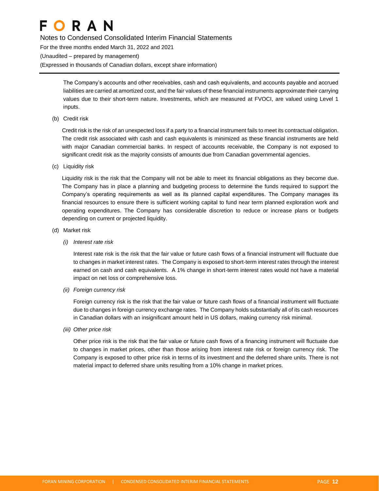Notes to Condensed Consolidated Interim Financial Statements For the three months ended March 31, 2022 and 2021 (Unaudited – prepared by management) (Expressed in thousands of Canadian dollars, except share information)

> The Company's accounts and other receivables, cash and cash equivalents, and accounts payable and accrued liabilities are carried at amortized cost, and the fair values of these financial instruments approximate their carrying values due to their short-term nature. Investments, which are measured at FVOCI, are valued using Level 1 inputs.

(b) Credit risk

Credit risk is the risk of an unexpected loss if a party to a financial instrument fails to meet its contractual obligation. The credit risk associated with cash and cash equivalents is minimized as these financial instruments are held with major Canadian commercial banks. In respect of accounts receivable, the Company is not exposed to significant credit risk as the majority consists of amounts due from Canadian governmental agencies.

(c) Liquidity risk

Liquidity risk is the risk that the Company will not be able to meet its financial obligations as they become due. The Company has in place a planning and budgeting process to determine the funds required to support the Company's operating requirements as well as its planned capital expenditures. The Company manages its financial resources to ensure there is sufficient working capital to fund near term planned exploration work and operating expenditures. The Company has considerable discretion to reduce or increase plans or budgets depending on current or projected liquidity.

- (d) Market risk
	- *(i) Interest rate risk*

Interest rate risk is the risk that the fair value or future cash flows of a financial instrument will fluctuate due to changes in market interest rates. The Company is exposed to short-term interest rates through the interest earned on cash and cash equivalents. A 1% change in short-term interest rates would not have a material impact on net loss or comprehensive loss.

*(ii) Foreign currency risk*

Foreign currency risk is the risk that the fair value or future cash flows of a financial instrument will fluctuate due to changes in foreign currency exchange rates. The Company holds substantially all of its cash resources in Canadian dollars with an insignificant amount held in US dollars, making currency risk minimal.

*(iii) Other price risk*

Other price risk is the risk that the fair value or future cash flows of a financing instrument will fluctuate due to changes in market prices, other than those arising from interest rate risk or foreign currency risk. The Company is exposed to other price risk in terms of its investment and the deferred share units. There is not material impact to deferred share units resulting from a 10% change in market prices.